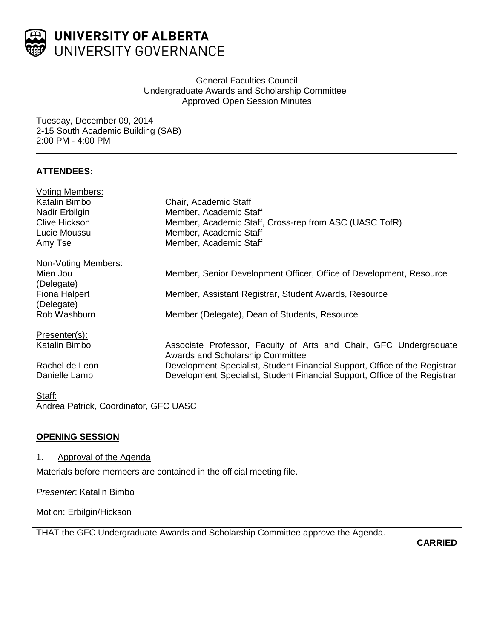

### General Faculties Council Undergraduate Awards and Scholarship Committee Approved Open Session Minutes

Tuesday, December 09, 2014 2-15 South Academic Building (SAB) 2:00 PM - 4:00 PM

## **ATTENDEES:**

| <b>Voting Members:</b>                |                                                                            |
|---------------------------------------|----------------------------------------------------------------------------|
| Katalin Bimbo                         | Chair, Academic Staff                                                      |
| Nadir Erbilgin                        | Member, Academic Staff                                                     |
| <b>Clive Hickson</b>                  | Member, Academic Staff, Cross-rep from ASC (UASC TofR)                     |
| Lucie Moussu                          | Member, Academic Staff                                                     |
| Amy Tse                               | Member, Academic Staff                                                     |
| Non-Voting Members:                   |                                                                            |
| Mien Jou                              | Member, Senior Development Officer, Office of Development, Resource        |
| (Delegate)                            |                                                                            |
| Fiona Halpert                         | Member, Assistant Registrar, Student Awards, Resource                      |
| (Delegate)                            |                                                                            |
| Rob Washburn                          | Member (Delegate), Dean of Students, Resource                              |
| Presenter(s):                         |                                                                            |
| Katalin Bimbo                         | Associate Professor, Faculty of Arts and Chair, GFC Undergraduate          |
|                                       | <b>Awards and Scholarship Committee</b>                                    |
| Rachel de Leon                        | Development Specialist, Student Financial Support, Office of the Registrar |
| Danielle Lamb                         | Development Specialist, Student Financial Support, Office of the Registrar |
| Staff:                                |                                                                            |
| Andrea Patrick, Coordinator, GFC UASC |                                                                            |

### **OPENING SESSION**

### 1. Approval of the Agenda

Materials before members are contained in the official meeting file.

*Presenter*: Katalin Bimbo

Motion: Erbilgin/Hickson

THAT the GFC Undergraduate Awards and Scholarship Committee approve the Agenda.

**CARRIED**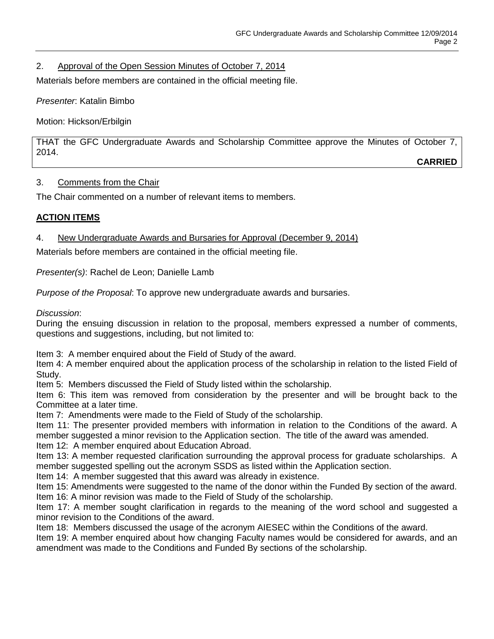# 2. Approval of the Open Session Minutes of October 7, 2014

Materials before members are contained in the official meeting file.

*Presenter*: Katalin Bimbo

Motion: Hickson/Erbilgin

THAT the GFC Undergraduate Awards and Scholarship Committee approve the Minutes of October 7, 2014. **CARRIED**

3. Comments from the Chair

The Chair commented on a number of relevant items to members.

## **ACTION ITEMS**

## 4. New Undergraduate Awards and Bursaries for Approval (December 9, 2014)

Materials before members are contained in the official meeting file.

*Presenter(s)*: Rachel de Leon; Danielle Lamb

*Purpose of the Proposal*: To approve new undergraduate awards and bursaries.

*Discussion*:

During the ensuing discussion in relation to the proposal, members expressed a number of comments, questions and suggestions, including, but not limited to:

Item 3: A member enquired about the Field of Study of the award.

Item 4: A member enquired about the application process of the scholarship in relation to the listed Field of Study.

Item 5: Members discussed the Field of Study listed within the scholarship.

Item 6: This item was removed from consideration by the presenter and will be brought back to the Committee at a later time.

Item 7: Amendments were made to the Field of Study of the scholarship.

Item 11: The presenter provided members with information in relation to the Conditions of the award. A member suggested a minor revision to the Application section. The title of the award was amended.

Item 12: A member enquired about Education Abroad.

Item 13: A member requested clarification surrounding the approval process for graduate scholarships. A member suggested spelling out the acronym SSDS as listed within the Application section.

Item 14: A member suggested that this award was already in existence.

Item 15: Amendments were suggested to the name of the donor within the Funded By section of the award. Item 16: A minor revision was made to the Field of Study of the scholarship.

Item 17: A member sought clarification in regards to the meaning of the word school and suggested a minor revision to the Conditions of the award.

Item 18: Members discussed the usage of the acronym AIESEC within the Conditions of the award.

Item 19: A member enquired about how changing Faculty names would be considered for awards, and an amendment was made to the Conditions and Funded By sections of the scholarship.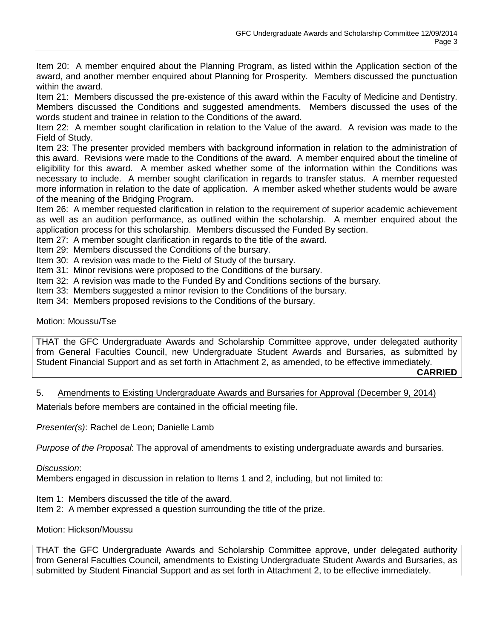Item 20: A member enquired about the Planning Program, as listed within the Application section of the award, and another member enquired about Planning for Prosperity. Members discussed the punctuation within the award.

Item 21: Members discussed the pre-existence of this award within the Faculty of Medicine and Dentistry. Members discussed the Conditions and suggested amendments. Members discussed the uses of the words student and trainee in relation to the Conditions of the award.

Item 22: A member sought clarification in relation to the Value of the award. A revision was made to the Field of Study.

Item 23: The presenter provided members with background information in relation to the administration of this award. Revisions were made to the Conditions of the award. A member enquired about the timeline of eligibility for this award. A member asked whether some of the information within the Conditions was necessary to include. A member sought clarification in regards to transfer status. A member requested more information in relation to the date of application. A member asked whether students would be aware of the meaning of the Bridging Program.

Item 26: A member requested clarification in relation to the requirement of superior academic achievement as well as an audition performance, as outlined within the scholarship. A member enquired about the application process for this scholarship. Members discussed the Funded By section.

Item 27: A member sought clarification in regards to the title of the award.

Item 29: Members discussed the Conditions of the bursary.

Item 30: A revision was made to the Field of Study of the bursary.

Item 31: Minor revisions were proposed to the Conditions of the bursary.

Item 32: A revision was made to the Funded By and Conditions sections of the bursary.

Item 33: Members suggested a minor revision to the Conditions of the bursary.

Item 34: Members proposed revisions to the Conditions of the bursary.

Motion: Moussu/Tse

THAT the GFC Undergraduate Awards and Scholarship Committee approve, under delegated authority from General Faculties Council, new Undergraduate Student Awards and Bursaries, as submitted by Student Financial Support and as set forth in Attachment 2, as amended, to be effective immediately.

**CARRIED**

5. Amendments to Existing Undergraduate Awards and Bursaries for Approval (December 9, 2014)

Materials before members are contained in the official meeting file.

*Presenter(s)*: Rachel de Leon; Danielle Lamb

*Purpose of the Proposal*: The approval of amendments to existing undergraduate awards and bursaries.

*Discussion*:

Members engaged in discussion in relation to Items 1 and 2, including, but not limited to:

Item 1: Members discussed the title of the award.

Item 2: A member expressed a question surrounding the title of the prize.

Motion: Hickson/Moussu

THAT the GFC Undergraduate Awards and Scholarship Committee approve, under delegated authority from General Faculties Council, amendments to Existing Undergraduate Student Awards and Bursaries, as submitted by Student Financial Support and as set forth in Attachment 2, to be effective immediately.